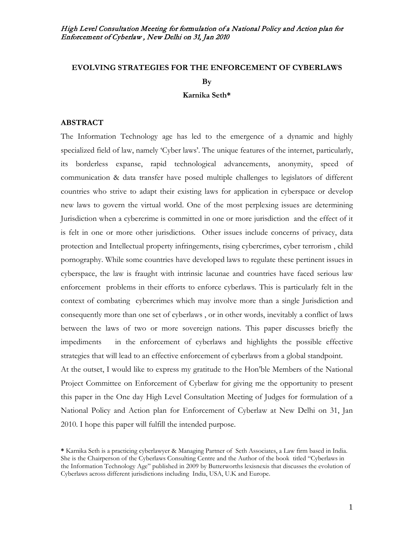# **EVOLVING STRATEGIES FOR THE ENFORCEMENT OF CYBERLAWS By**

#### **Karnika Seth\***

## **ABSTRACT**

The Information Technology age has led to the emergence of a dynamic and highly specialized field of law, namely 'Cyber laws'. The unique features of the internet, particularly, its borderless expanse, rapid technological advancements, anonymity, speed of communication & data transfer have posed multiple challenges to legislators of different countries who strive to adapt their existing laws for application in cyberspace or develop new laws to govern the virtual world. One of the most perplexing issues are determining Jurisdiction when a cybercrime is committed in one or more jurisdiction and the effect of it is felt in one or more other jurisdictions. Other issues include concerns of privacy, data protection and Intellectual property infringements, rising cybercrimes, cyber terrorism , child pornography. While some countries have developed laws to regulate these pertinent issues in cyberspace, the law is fraught with intrinsic lacunae and countries have faced serious law enforcement problems in their efforts to enforce cyberlaws. This is particularly felt in the context of combating cybercrimes which may involve more than a single Jurisdiction and consequently more than one set of cyberlaws , or in other words, inevitably a conflict of laws between the laws of two or more sovereign nations. This paper discusses briefly the impediments in the enforcement of cyberlaws and highlights the possible effective strategies that will lead to an effective enforcement of cyberlaws from a global standpoint. At the outset, I would like to express my gratitude to the Hon'ble Members of the National Project Committee on Enforcement of Cyberlaw for giving me the opportunity to present this paper in the One day High Level Consultation Meeting of Judges for formulation of a National Policy and Action plan for Enforcement of Cyberlaw at New Delhi on 31, Jan 2010. I hope this paper will fulfill the intended purpose.

**<sup>\*</sup>** Karnika Seth is a practicing cyberlawyer & Managing Partner of Seth Associates, a Law firm based in India. She is the Chairperson of the Cyberlaws Consulting Centre and the Author of the book titled "Cyberlaws in the Information Technology Age" published in 2009 by Butterworths lexisnexis that discusses the evolution of Cyberlaws across different jurisdictions including India, USA, U.K and Europe.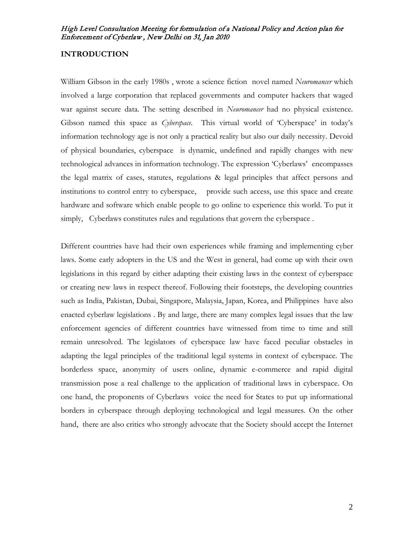## **INTRODUCTION**

William Gibson in the early 1980s , wrote a science fiction novel named *Neuromancer* which involved a large corporation that replaced governments and computer hackers that waged war against secure data. The setting described in *Neuromancer* had no physical existence. Gibson named this space as *Cyberspace.* This virtual world of 'Cyberspace' in today's information technology age is not only a practical reality but also our daily necessity. Devoid of physical boundaries, cyberspace is dynamic, undefined and rapidly changes with new technological advances in information technology. The expression 'Cyberlaws' encompasses the legal matrix of cases, statutes, regulations & legal principles that affect persons and institutions to control entry to cyberspace, provide such access, use this space and create hardware and software which enable people to go online to experience this world. To put it simply, Cyberlaws constitutes rules and regulations that govern the cyberspace .

Different countries have had their own experiences while framing and implementing cyber laws. Some early adopters in the US and the West in general, had come up with their own legislations in this regard by either adapting their existing laws in the context of cyberspace or creating new laws in respect thereof. Following their footsteps, the developing countries such as India, Pakistan, Dubai, Singapore, Malaysia, Japan, Korea, and Philippines have also enacted cyberlaw legislations . By and large, there are many complex legal issues that the law enforcement agencies of different countries have witnessed from time to time and still remain unresolved. The legislators of cyberspace law have faced peculiar obstacles in adapting the legal principles of the traditional legal systems in context of cyberspace. The borderless space, anonymity of users online, dynamic e-commerce and rapid digital transmission pose a real challenge to the application of traditional laws in cyberspace. On one hand, the proponents of Cyberlaws voice the need for States to put up informational borders in cyberspace through deploying technological and legal measures. On the other hand, there are also critics who strongly advocate that the Society should accept the Internet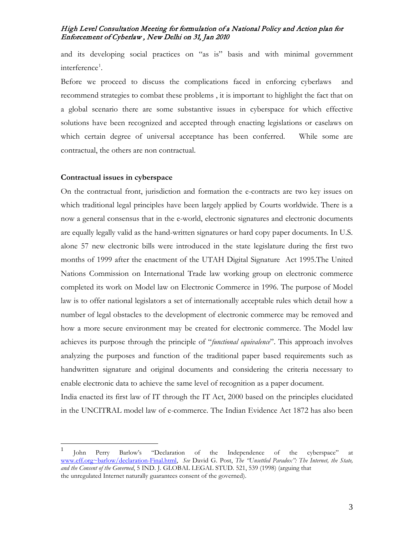and its developing social practices on "as is" basis and with minimal government interference<sup>[1](#page-2-0)</sup>.

Before we proceed to discuss the complications faced in enforcing cyberlaws and recommend strategies to combat these problems , it is important to highlight the fact that on a global scenario there are some substantive issues in cyberspace for which effective solutions have been recognized and accepted through enacting legislations or caselaws on which certain degree of universal acceptance has been conferred. While some are contractual, the others are non contractual.

#### **Contractual issues in cyberspace**

On the contractual front, jurisdiction and formation the e-contracts are two key issues on which traditional legal principles have been largely applied by Courts worldwide. There is a now a general consensus that in the e-world, electronic signatures and electronic documents are equally legally valid as the hand-written signatures or hard copy paper documents. In U.S. alone 57 new electronic bills were introduced in the state legislature during the first two months of 1999 after the enactment of the UTAH Digital Signature Act 1995.The United Nations Commission on International Trade law working group on electronic commerce completed its work on Model law on Electronic Commerce in 1996. The purpose of Model law is to offer national legislators a set of internationally acceptable rules which detail how a number of legal obstacles to the development of electronic commerce may be removed and how a more secure environment may be created for electronic commerce. The Model law achieves its purpose through the principle of "*functional equivalence*". This approach involves analyzing the purposes and function of the traditional paper based requirements such as handwritten signature and original documents and considering the criteria necessary to enable electronic data to achieve the same level of recognition as a paper document.

India enacted its first law of IT through the IT Act, 2000 based on the principles elucidated in the UNCITRAL model law of e-commerce. The Indian Evidence Act 1872 has also been

<span id="page-2-0"></span> <sup>1</sup> John Perry Barlow's "Declaration of the Independence of the cyberspace" at [www.eff.org~barlow/declaration-Final.html,](http://www.eff.org~barlow/declaration-Final.html) *See* David G. Post, *The "Unsettled Paradox": The Internet, the State, and the Consent of the Governed*, 5 IND. J. GLOBAL LEGAL STUD. 521, 539 (1998) (arguing that the unregulated Internet naturally guarantees consent of the governed).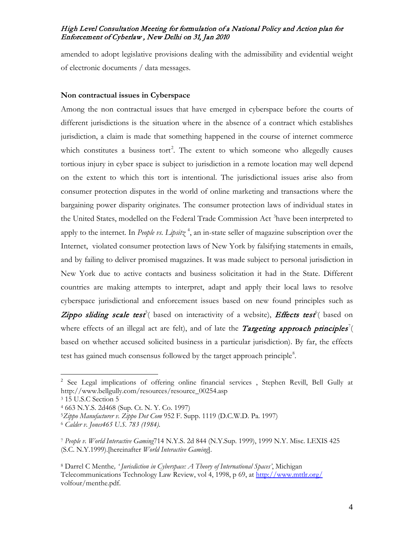amended to adopt legislative provisions dealing with the admissibility and evidential weight of electronic documents / data messages.

#### **Non contractual issues in Cyberspace**

Among the non contractual issues that have emerged in cyberspace before the courts of different jurisdictions is the situation where in the absence of a contract which establishes jurisdiction, a claim is made that something happened in the course of internet commerce which constitutes a business tort<sup>[2](#page-3-0)</sup>. The extent to which someone who allegedly causes tortious injury in cyber space is subject to jurisdiction in a remote location may well depend on the extent to which this tort is intentional. The jurisdictional issues arise also from consumer protection disputes in the world of online marketing and transactions where the bargaining power disparity originates. The consumer protection laws of individual states in the United States, modelled on the Federal Trade Commission Act<sup>[3](#page-3-1)</sup>have been interpreted to apply to the internet. In *People vs. Lipsit*<sub>7</sub><sup>[4](#page-3-2)</sup>, an in-state seller of magazine subscription over the Internet, violated consumer protection laws of New York by falsifying statements in emails, and by failing to deliver promised magazines. It was made subject to personal jurisdiction in New York due to active contacts and business solicitation it had in the State. Different countries are making attempts to interpret, adapt and apply their local laws to resolve cyberspace jurisdictional and enforcement issues based on new found principles such as Zippo sliding scale test<sup>[5](#page-3-3)</sup>( based on interactivity of a website), Effects test<sup>[6](#page-3-4)</sup>( based on where effects of an illegal act are felt), and of late the *Targeting approach principles*<sup>[7](#page-3-5)</sup>( based on whether accused solicited business in a particular jurisdiction). By far, the effects test has gained much consensus followed by the target approach principle<sup>[8](#page-3-6)</sup>.

<span id="page-3-0"></span><sup>&</sup>lt;sup>2</sup> See Legal implications of offering online financial services, Stephen Revill, Bell Gully at http://www.bellgully.com/resources/resource\_00254.asp

<span id="page-3-1"></span><sup>3</sup> 15 U.S.C Section 5

<span id="page-3-2"></span><sup>4</sup> 663 N.Y.S. 2d468 (Sup. Ct. N. Y. Co. 1997)

<span id="page-3-3"></span><sup>5</sup>*[Zippo Manufacturer v. Zippo Dot Com](http://www.lex2k.org/jurisdiction/zippo.pdf)* 952 F. Supp. 1119 (D.C.W.D. Pa. 1997)

<span id="page-3-4"></span><sup>6</sup> *Calder v. Jones465 U.S. 783 (1984).*

<span id="page-3-5"></span><sup>7</sup> *People v. World Interactive Gaming*714 N.Y.S. 2d 844 (N.Y.Sup. 1999), 1999 N.Y. Misc. LEXIS 425 (S.C. N.Y.1999).[hereinafter *World Interactive Gaming*].

<span id="page-3-6"></span><sup>8</sup> Darrel C Menthe*, ' Jurisdiction in Cyberspace: A Theory of International Spaces'*, Michigan Telecommunications Technology Law Review, vol 4, 1998, p 69, at<http://www.mttlr.org/> volfour/menthe.pdf.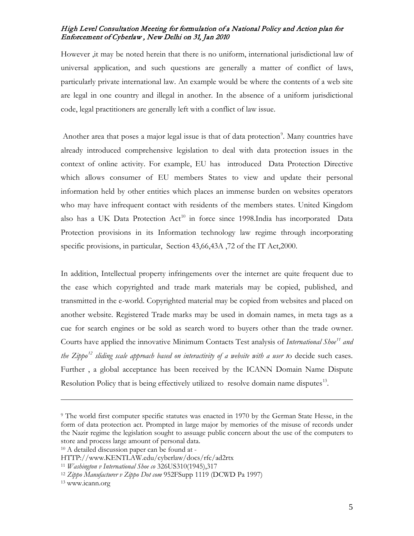However ,it may be noted herein that there is no uniform, international jurisdictional law of universal application, and such questions are generally a matter of [conflict of laws,](http://en.wikipedia.org/wiki/Conflict_of_laws) particularly private international law. An example would be where the contents of a web site are legal in one country and illegal in another. In the absence of a uniform jurisdictional code, legal practitioners are generally left with a conflict of law issue.

Another area that poses a major legal issue is that of data protection<sup>[9](#page-4-0)</sup>. Many countries have already introduced comprehensive legislation to deal with data protection issues in the context of online activity. For example, EU has introduced Data Protection Directive which allows consumer of EU members States to view and update their personal information held by other entities which places an immense burden on websites operators who may have infrequent contact with residents of the members states. United Kingdom also has a UK Data Protection Act<sup>[10](#page-4-1)</sup> in force since 1998.India has incorporated Data Protection provisions in its Information technology law regime through incorporating specific provisions, in particular, Section 43,66,43A ,72 of the IT Act,2000.

In addition, Intellectual property infringements over the internet are quite frequent due to the ease which copyrighted and trade mark materials may be copied, published, and transmitted in the e-world. Copyrighted material may be copied from websites and placed on another website. Registered Trade marks may be used in domain names, in meta tags as a cue for search engines or be sold as search word to buyers other than the trade owner. Courts have applied the innovative Minimum Contacts Test analysis of *International Shoe [11](#page-4-2) and the Zippo[12](#page-4-3) sliding scale approach based on interactivity of a website with a user t*o decide such cases. Further , a global acceptance has been received by the ICANN Domain Name Dispute Resolution Policy that is being effectively utilized to resolve domain name disputes<sup>[13](#page-4-4)</sup>.

 $\overline{a}$ 

<span id="page-4-0"></span><sup>9</sup> The world first computer specific statutes was enacted in 1970 by the German State Hesse, in the form of data protection act. Prompted in large major by memories of the misuse of records under the Nazir regime the legislation sought to assuage public concern about the use of the computers to store and process large amount of personal data.

<span id="page-4-1"></span><sup>10</sup> A detailed discussion paper can be found at -

HTTP://www.KENTLAW.edu/cyberlaw/docs/rfc/ad2rtx

<span id="page-4-3"></span><span id="page-4-2"></span><sup>11</sup> *Washington v International Shoe co* 326US310(1945),317 12 *Zippo Manufacturer v Zippo Dot com* 952FSupp 1119 (DCWD Pa 1997)

<span id="page-4-4"></span><sup>13</sup> www.icann.org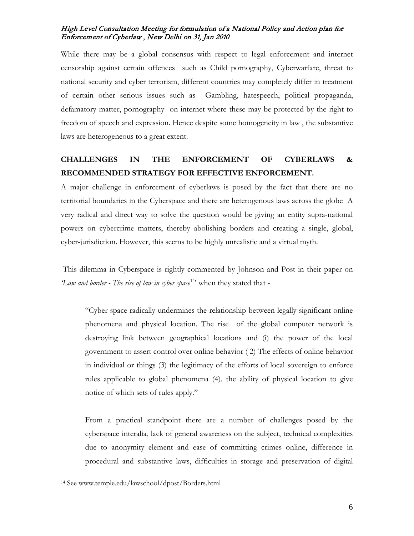While there may be a global consensus with respect to legal enforcement and internet censorship against certain offences such as Child pornography, Cyberwarfare, threat to national security and cyber terrorism, different countries may completely differ in treatment of certain other serious issues such as Gambling, hatespeech, political propaganda, defamatory matter, pornography on internet where these may be protected by the right to freedom of speech and expression. Hence despite some homogeneity in law , the substantive laws are heterogeneous to a great extent.

# **CHALLENGES IN THE ENFORCEMENT OF CYBERLAWS & RECOMMENDED STRATEGY FOR EFFECTIVE ENFORCEMENT.**

A major challenge in enforcement of cyberlaws is posed by the fact that there are no territorial boundaries in the Cyberspace and there are heterogenous laws across the globe A very radical and direct way to solve the question would be giving an entity supra-national powers on cybercrime matters, thereby abolishing borders and creating a single, global, cyber-jurisdiction. However, this seems to be highly unrealistic and a virtual myth.

This dilemma in Cyberspace is rightly commented by Johnson and Post in their paper on Law and border - The rise of law in cyber space<sup>[14](#page-5-0)</sup> when they stated that -

"Cyber space radically undermines the relationship between legally significant online phenomena and physical location. The rise of the global computer network is destroying link between geographical locations and (i) the power of the local government to assert control over online behavior ( 2) The effects of online behavior in individual or things (3) the legitimacy of the efforts of local sovereign to enforce rules applicable to global phenomena (4). the ability of physical location to give notice of which sets of rules apply."

From a practical standpoint there are a number of challenges posed by the cyberspace interalia, lack of general awareness on the subject, technical complexities due to anonymity element and ease of committing crimes online, difference in procedural and substantive laws, difficulties in storage and preservation of digital

 $\overline{a}$ 

<span id="page-5-0"></span><sup>14</sup> See www.temple.edu/lawschool/dpost/Borders.html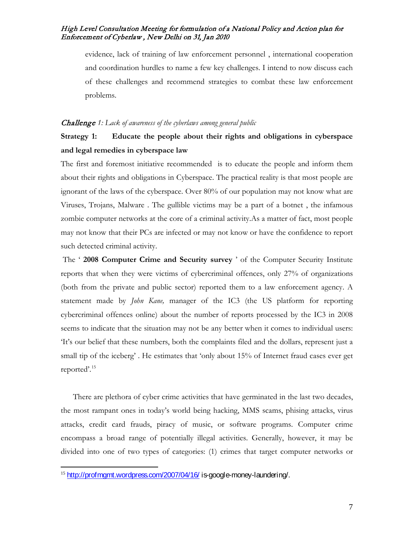evidence, lack of training of law enforcement personnel , international cooperation and coordination hurdles to name a few key challenges. I intend to now discuss each of these challenges and recommend strategies to combat these law enforcement problems.

#### Challenge *1: Lack of awareness of the cyberlaws among general public*

# **Strategy 1: Educate the people about their rights and obligations in cyberspace and legal remedies in cyberspace law**

The first and foremost initiative recommended is to educate the people and inform them about their rights and obligations in Cyberspace. The practical reality is that most people are ignorant of the laws of the cyberspace. Over 80% of our population may not know what are Viruses, Trojans, Malware . The gullible victims may be a part of a botnet , the infamous zombie computer networks at the core of a criminal activity.As a matter of fact, most people may not know that their PCs are infected or may not know or have the confidence to report such detected criminal activity.

The ' **2008 Computer Crime and Security survey** ' of the Computer Security Institute reports that when they were victims of cybercriminal offences, only 27% of organizations (both from the private and public sector) reported them to a law enforcement agency. A statement made by *John Kane,* manager of the IC3 (the US platform for reporting cybercriminal offences online) about the number of reports processed by the IC3 in 2008 seems to indicate that the situation may not be any better when it comes to individual users: 'It's our belief that these numbers, both the complaints filed and the dollars, represent just a small tip of the iceberg' . He estimates that 'only about 15% of Internet fraud cases ever get reported'.[15](#page-6-0)

There are plethora of cyber crime activities that have germinated in the last two decades, the most rampant ones in today's world being hacking, MMS scams, phising attacks, virus attacks, credit card frauds, piracy of music, or software programs. Computer crime encompass a broad range of potentially illegal activities. Generally, however, it may be divided into one of two types of categories: (1) crimes that target computer networks or

<span id="page-6-0"></span><sup>&</sup>lt;sup>15</sup> <http://profmgmt.wordpress.com/2007/04/16/> is-google-money-laundering/.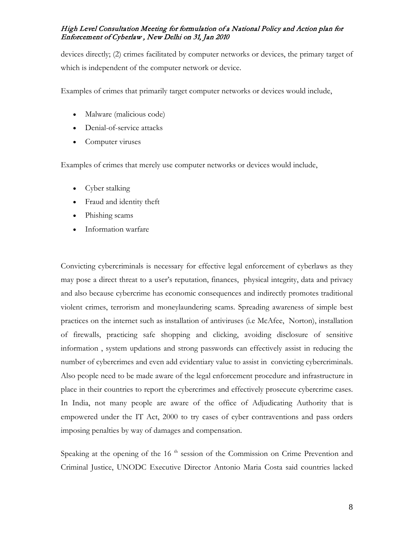devices directly; (2) crimes facilitated by computer networks or devices, the primary target of which is independent of the computer network or device.

Examples of crimes that primarily target computer networks or devices would include,

- [Malware](http://en.wikipedia.org/wiki/Malware) (malicious code)
- [Denial-of-service attacks](http://en.wikipedia.org/wiki/Denial-of-service_attacks)
- [Computer viruses](http://en.wikipedia.org/wiki/Computer_viruses)

Examples of crimes that merely use computer networks or devices would include,

- [Cyber stalking](http://en.wikipedia.org/wiki/Cyber_stalking)
- [Fraud](http://en.wikipedia.org/wiki/Fraud) and [identity theft](http://en.wikipedia.org/wiki/Identity_theft)
- [Phishing scams](http://en.wikipedia.org/wiki/Phishing)
- [Information warfare](http://en.wikipedia.org/wiki/Information_warfare)

Convicting cybercriminals is necessary for effective legal enforcement of cyberlaws as they may pose a direct threat to a user's reputation, finances, physical integrity, data and privacy and also because cybercrime has economic consequences and indirectly promotes traditional violent crimes, terrorism and moneylaundering scams. Spreading awareness of simple best practices on the internet such as installation of antiviruses (i.e McAfee, Norton), installation of firewalls, practicing safe shopping and clicking, avoiding disclosure of sensitive information , system updations and strong passwords can effectively assist in reducing the number of cybercrimes and even add evidentiary value to assist in convicting cybercriminals. Also people need to be made aware of the legal enforcement procedure and infrastructure in place in their countries to report the cybercrimes and effectively prosecute cybercrime cases. In India, not many people are aware of the office of Adjudicating Authority that is empowered under the IT Act, 2000 to try cases of cyber contraventions and pass orders imposing penalties by way of damages and compensation.

Speaking at the opening of the  $16<sup>th</sup>$  session of the Commission on Crime Prevention and Criminal Justice, UNODC Executive Director Antonio Maria Costa said countries lacked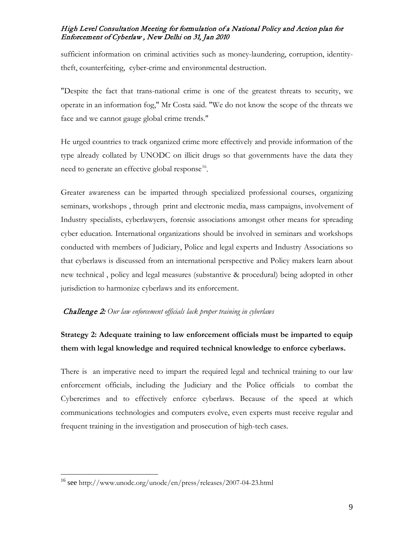sufficient information on criminal activities such as money-laundering, corruption, identitytheft, counterfeiting, cyber-crime and environmental destruction.

"Despite the fact that trans-national crime is one of the greatest threats to security, we operate in an information fog," Mr Costa said. "We do not know the scope of the threats we face and we cannot gauge global crime trends."

He urged countries to track organized crime more effectively and provide information of the type already collated by UNODC on illicit drugs so that governments have the data they need to generate an effective global response<sup>[16](#page-8-0)</sup>.

Greater awareness can be imparted through specialized professional courses, organizing seminars, workshops , through print and electronic media, mass campaigns, involvement of Industry specialists, cyberlawyers, forensic associations amongst other means for spreading cyber education. International organizations should be involved in seminars and workshops conducted with members of Judiciary, Police and legal experts and Industry Associations so that cyberlaws is discussed from an international perspective and Policy makers learn about new technical , policy and legal measures (substantive & procedural) being adopted in other jurisdiction to harmonize cyberlaws and its enforcement.

## Challenge 2: *Our law enforcement officials lack proper training in cyberlaws*

# **Strategy 2: Adequate training to law enforcement officials must be imparted to equip them with legal knowledge and required technical knowledge to enforce cyberlaws.**

There is an imperative need to impart the required legal and technical training to our law enforcement officials, including the Judiciary and the Police officials to combat the Cybercrimes and to effectively enforce cyberlaws. Because of the speed at which communications technologies and computers evolve, even experts must receive regular and frequent training in the investigation and prosecution of high-tech cases.

<span id="page-8-0"></span> <sup>16</sup> see http://www.unodc.org/unodc/en/press/releases/2007-04-23.html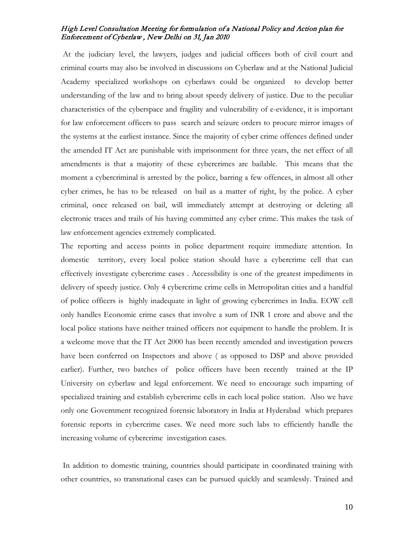At the judiciary level, the lawyers, judges and judicial officers both of civil court and criminal courts may also be involved in discussions on Cyberlaw and at the National Judicial Academy specialized workshops on cyberlaws could be organized to develop better understanding of the law and to bring about speedy delivery of justice. Due to the peculiar characteristics of the cyberspace and fragility and vulnerability of e-evidence, it is important for law enforcement officers to pass search and seizure orders to procure mirror images of the systems at the earliest instance. Since the majority of cyber crime offences defined under the amended IT Act are punishable with imprisonment for three years, the net effect of all amendments is that a majority of these cybercrimes are bailable. This means that the moment a cybercriminal is arrested by the police, barring a few offences, in almost all other cyber crimes, he has to be released on bail as a matter of right, by the police. A cyber criminal, once released on bail, will immediately attempt at destroying or deleting all electronic traces and trails of his having committed any cyber crime. This makes the task of law enforcement agencies extremely complicated.

The reporting and access points in police department require immediate attention. In domestic territory, every local police station should have a cybercrime cell that can effectively investigate cybercrime cases . Accessibility is one of the greatest impediments in delivery of speedy justice. Only 4 cybercrime crime cells in Metropolitan cities and a handful of police officers is highly inadequate in light of growing cybercrimes in India. EOW cell only handles Economic crime cases that involve a sum of INR 1 crore and above and the local police stations have neither trained officers nor equipment to handle the problem. It is a welcome move that the IT Act 2000 has been recently amended and investigation powers have been conferred on Inspectors and above ( as opposed to DSP and above provided earlier). Further, two batches of police officers have been recently trained at the IP University on cyberlaw and legal enforcement. We need to encourage such imparting of specialized training and establish cybercrime cells in each local police station. Also we have only one Government recognized forensic laboratory in India at Hyderabad which prepares forensic reports in cybercrime cases. We need more such labs to efficiently handle the increasing volume of cybercrime investigation cases.

In addition to domestic training, countries should participate in coordinated training with other countries, so transnational cases can be pursued quickly and seamlessly. Trained and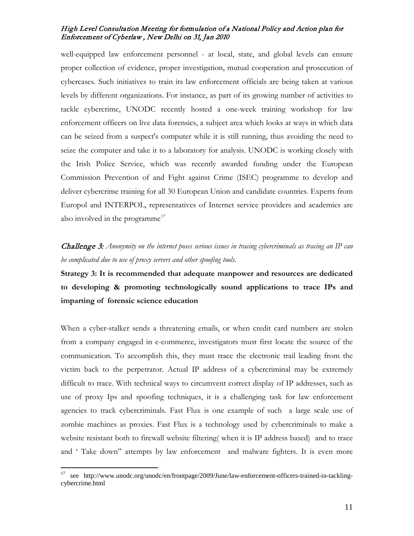well-equipped law enforcement personnel - at local, state, and global levels can ensure proper collection of evidence, proper investigation, mutual cooperation and prosecution of cybercases. Such initiatives to train its law enforcement officials are being taken at various levels by different organizations. For instance, as part of its growing number of activities to tackle cybercrime, UNODC recently hosted a one-week training workshop for law enforcement officers on live data forensics, a subject area which looks at ways in which data can be seized from a suspect's computer while it is still running, thus avoiding the need to seize the computer and take it to a laboratory for analysis. UNODC is working closely with the Irish Police Service, which was recently awarded funding under the European Commission Prevention of and Fight against Crime (ISEC) programme to develop and deliver cybercrime training for all 30 European Union and candidate countries. Experts from Europol and INTERPOL, representatives of Internet service providers and academics are also involved in the programme<sup>[17](#page-10-0)</sup>

# Challenge 3: *Anonymity on the internet poses serious issues in tracing cybercriminals as tracing an IP can be complicated due to use of proxy servers and other spoofing tools.*

**Strategy 3: It is recommended that adequate manpower and resources are dedicated to developing & promoting technologically sound applications to trace IPs and imparting of forensic science education**

When a cyber-stalker sends a threatening emails, or when credit card numbers are stolen from a company engaged in e-commerce, investigators must first locate the source of the communication. To accomplish this, they must trace the electronic trail leading from the victim back to the perpetrator. Actual IP address of a cybercriminal may be extremely difficult to trace. With technical ways to circumvent correct display of IP addresses, such as use of proxy Ips and spoofing techniques, it is a challenging task for law enforcement agencies to track cybercriminals. Fast Flux is one example of such a large scale use of zombie machines as proxies. Fast Flux is a technology used by cybercriminals to make a website resistant both to firewall website filtering( when it is IP address based) and to trace and ' Take down" attempts by law enforcement and malware fighters. It is even more

<span id="page-10-0"></span> <sup>17</sup> see http://www.unodc.org/unodc/en/frontpage/2009/June/law-enforcement-officers-trained-in-tacklingcybercrime.html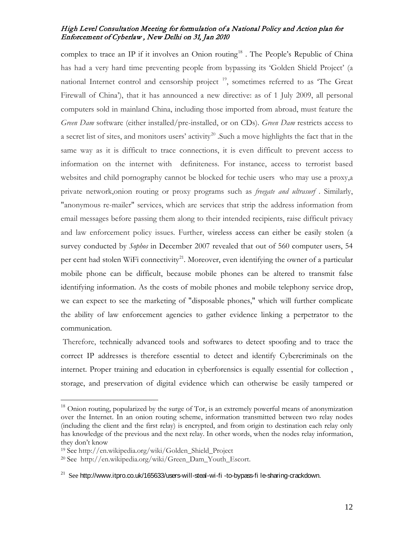complex to trace an IP if it involves an Onion routing<sup>[18](#page-11-0)</sup>. The People's Republic of China has had a very hard time preventing people from bypassing its 'Golden Shield Project' (a national Internet control and censorship project  $19$ , sometimes referred to as 'The Great Firewall of China'), that it has announced a new directive: as of 1 July 2009, all personal computers sold in mainland China, including those imported from abroad, must feature the *Green Dam* software (either installed/pre-installed, or on CDs). *Green Dam* restricts access to a secret list of sites, and monitors users' activity<sup>[20](#page-11-2)</sup>. Such a move highlights the fact that in the same way as it is difficult to trace connections, it is even difficult to prevent access to information on the internet with definiteness. For instance, access to terrorist based websites and child pornography cannot be blocked for techie users who may use a proxy, a private network,onion routing or proxy programs such as *freegate and ultrasurf* . Similarly, "anonymous re-mailer" services, which are services that strip the address information from email messages before passing them along to their intended recipients, raise difficult privacy and law enforcement policy issues. Further, wireless access can either be easily stolen (a survey conducted by *Sophos* in December 2007 revealed that out of 560 computer users, 54 per cent had stolen WiFi connectivity<sup>21</sup>. Moreover, even identifying the owner of a particular mobile phone can be difficult, because mobile phones can be altered to transmit false identifying information. As the costs of mobile phones and mobile telephony service drop, we can expect to see the marketing of "disposable phones," which will further complicate the ability of law enforcement agencies to gather evidence linking a perpetrator to the communication.

Therefore, technically advanced tools and softwares to detect spoofing and to trace the correct IP addresses is therefore essential to detect and identify Cybercriminals on the internet. Proper training and education in cyberforensics is equally essential for collection , storage, and preservation of digital evidence which can otherwise be easily tampered or

 $\overline{a}$ 

<span id="page-11-0"></span><sup>&</sup>lt;sup>18</sup> Onion routing, popularized by the surge of Tor, is an extremely powerful means of anonymization over the Internet. In an onion routing scheme, information transmitted between two relay nodes (including the client and the first relay) is encrypted, and from origin to destination each relay only has knowledge of the previous and the next relay. In other words, when the nodes relay information, they don't know

<span id="page-11-1"></span><sup>19</sup> See http://en.wikipedia.org/wiki/Golden\_Shield\_Project

<span id="page-11-2"></span><sup>20</sup> See http://en.wikipedia.org/wiki/Green\_Dam\_Youth\_Escort.

<span id="page-11-3"></span> $^{21}$  See http://www.itpro.co.uk/165633/users-will-steal-wi-fi-to-bypass-file-sharing-crackdown.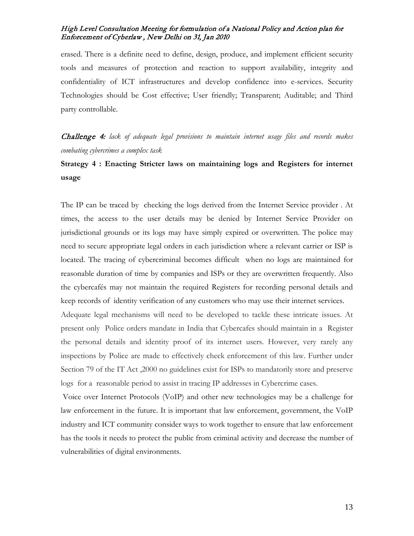erased. There is a definite need to define, design, produce, and implement efficient security tools and measures of protection and reaction to support availability, integrity and confidentiality of ICT infrastructures and develop confidence into e-services. Security Technologies should be Cost effective; User friendly; Transparent; Auditable; and Third party controllable.

Challenge 4: *lack of adequate legal provisions to maintain internet usage files and records makes combating cybercrimes a complex task* 

# **Strategy 4 : Enacting Stricter laws on maintaining logs and Registers for internet usage**

The IP can be traced by checking the logs derived from the Internet Service provider . At times, the access to the user details may be denied by Internet Service Provider on jurisdictional grounds or its logs may have simply expired or overwritten. The police may need to secure appropriate legal orders in each jurisdiction where a relevant carrier or ISP is located. The tracing of cybercriminal becomes difficult when no logs are maintained for reasonable duration of time by companies and ISPs or they are overwritten frequently. Also the cybercafés may not maintain the required Registers for recording personal details and keep records of identity verification of any customers who may use their internet services.

Adequate legal mechanisms will need to be developed to tackle these intricate issues. At present only Police orders mandate in India that Cybercafes should maintain in a Register the personal details and identity proof of its internet users. However, very rarely any inspections by Police are made to effectively check enforcement of this law. Further under Section 79 of the IT Act ,2000 no guidelines exist for ISPs to mandatorily store and preserve logs for a reasonable period to assist in tracing IP addresses in Cybercrime cases.

Voice over Internet Protocols (VoIP) and other new technologies may be a challenge for law enforcement in the future. It is important that law enforcement, government, the VoIP industry and ICT community consider ways to work together to ensure that law enforcement has the tools it needs to protect the public from criminal activity and decrease the number of vulnerabilities of digital environments.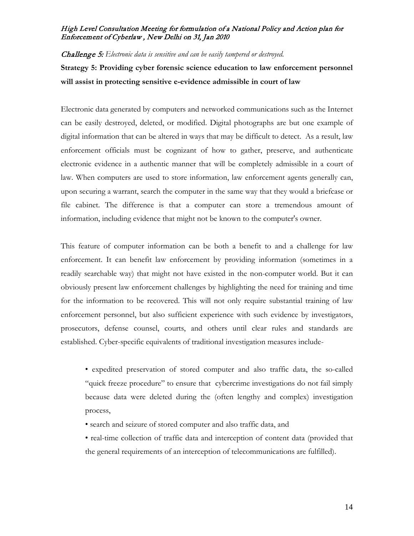Challenge 5: *Electronic data is sensitive and can be easily tampered or destroyed.*

**Strategy 5: Providing cyber forensic science education to law enforcement personnel will assist in protecting sensitive e-evidence admissible in court of law**

Electronic data generated by computers and networked communications such as the Internet can be easily destroyed, deleted, or modified. Digital photographs are but one example of digital information that can be altered in ways that may be difficult to detect. As a result, law enforcement officials must be cognizant of how to gather, preserve, and authenticate electronic evidence in a authentic manner that will be completely admissible in a court of law. When computers are used to store information, law enforcement agents generally can, upon securing a warrant, search the computer in the same way that they would a briefcase or file cabinet. The difference is that a computer can store a tremendous amount of information, including evidence that might not be known to the computer's owner.

This feature of computer information can be both a benefit to and a challenge for law enforcement. It can benefit law enforcement by providing information (sometimes in a readily searchable way) that might not have existed in the non-computer world. But it can obviously present law enforcement challenges by highlighting the need for training and time for the information to be recovered. This will not only require substantial training of law enforcement personnel, but also sufficient experience with such evidence by investigators, prosecutors, defense counsel, courts, and others until clear rules and standards are established. Cyber-specific equivalents of traditional investigation measures include-

- expedited preservation of stored computer and also traffic data, the so-called "quick freeze procedure" to ensure that cybercrime investigations do not fail simply because data were deleted during the (often lengthy and complex) investigation process,
- search and seizure of stored computer and also traffic data, and
- real-time collection of traffic data and interception of content data (provided that the general requirements of an interception of telecommunications are fulfilled).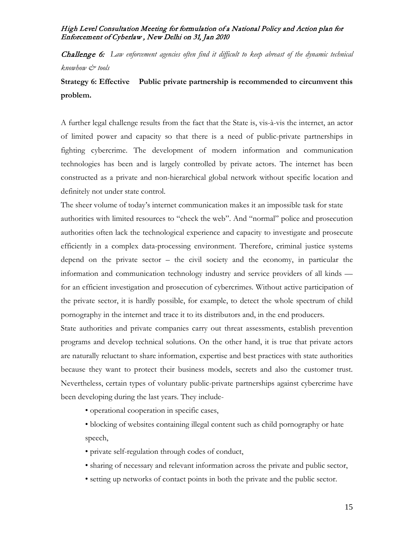Challenge 6: *Law enforcement agencies often find it difficult to keep abreast of the dynamic technical knowhow & tools*

# **Strategy 6: Effective Public private partnership is recommended to circumvent this problem.**

A further legal challenge results from the fact that the State is, vis-à-vis the internet, an actor of limited power and capacity so that there is a need of public-private partnerships in fighting cybercrime. The development of modern information and communication technologies has been and is largely controlled by private actors. The internet has been constructed as a private and non-hierarchical global network without specific location and definitely not under state control.

The sheer volume of today's internet communication makes it an impossible task for state authorities with limited resources to "check the web". And "normal" police and prosecution authorities often lack the technological experience and capacity to investigate and prosecute efficiently in a complex data-processing environment. Therefore, criminal justice systems depend on the private sector – the civil society and the economy, in particular the information and communication technology industry and service providers of all kinds for an efficient investigation and prosecution of cybercrimes. Without active participation of the private sector, it is hardly possible, for example, to detect the whole spectrum of child pornography in the internet and trace it to its distributors and, in the end producers.

State authorities and private companies carry out threat assessments, establish prevention programs and develop technical solutions. On the other hand, it is true that private actors are naturally reluctant to share information, expertise and best practices with state authorities because they want to protect their business models, secrets and also the customer trust. Nevertheless, certain types of voluntary public-private partnerships against cybercrime have been developing during the last years. They include-

• operational cooperation in specific cases,

• blocking of websites containing illegal content such as child pornography or hate speech,

• private self-regulation through codes of conduct,

• sharing of necessary and relevant information across the private and public sector,

• setting up networks of contact points in both the private and the public sector.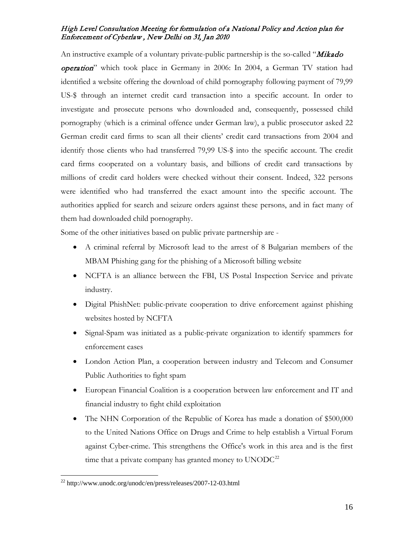An instructive example of a voluntary private-public partnership is the so-called "Mikado" operation" which took place in Germany in 2006: In 2004, a German TV station had identified a website offering the download of child pornography following payment of 79,99 US-\$ through an internet credit card transaction into a specific account. In order to investigate and prosecute persons who downloaded and, consequently, possessed child pornography (which is a criminal offence under German law), a public prosecutor asked 22 German credit card firms to scan all their clients' credit card transactions from 2004 and identify those clients who had transferred 79,99 US-\$ into the specific account. The credit card firms cooperated on a voluntary basis, and billions of credit card transactions by millions of credit card holders were checked without their consent. Indeed, 322 persons were identified who had transferred the exact amount into the specific account. The authorities applied for search and seizure orders against these persons, and in fact many of them had downloaded child pornography.

Some of the other initiatives based on public private partnership are -

- A criminal referral by Microsoft lead to the arrest of 8 Bulgarian members of the MBAM Phishing gang for the phishing of a Microsoft billing website
- NCFTA is an alliance between the FBI, US Postal Inspection Service and private industry.
- Digital PhishNet: public-private cooperation to drive enforcement against phishing websites hosted by NCFTA
- Signal-Spam was initiated as a public-private organization to identify spammers for enforcement cases
- London Action Plan, a cooperation between industry and Telecom and Consumer Public Authorities to fight spam
- European Financial Coalition is a cooperation between law enforcement and IT and financial industry to fight child exploitation
- The NHN Corporation of the Republic of Korea has made a donation of \$500,000 to the United Nations Office on Drugs and Crime to help establish a Virtual Forum against Cyber-crime. This strengthens the Office's work in this area and is the first time that a private company has granted money to  $UNODC<sup>22</sup>$  $UNODC<sup>22</sup>$  $UNODC<sup>22</sup>$

<span id="page-15-0"></span> <sup>22</sup> http://www.unodc.org/unodc/en/press/releases/2007-12-03.html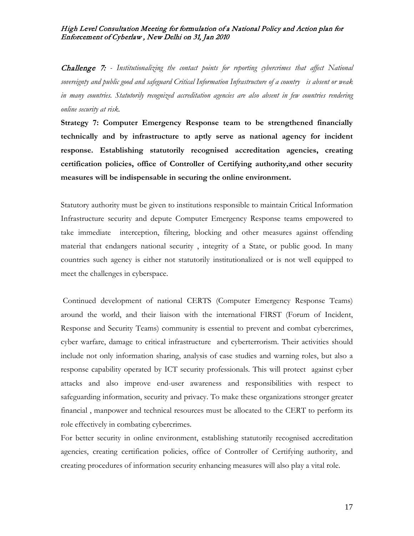Challenge 7: *- Institutionalizing the contact points for reporting cybercrimes that affect National sovereignty and public good and safeguard Critical Information Infrastructure of a country is absent or weak in many countries. Statutorily recognized accreditation agencies are also absent in few countries rendering online security at risk.*

**Strategy 7: Computer Emergency Response team to be strengthened financially technically and by infrastructure to aptly serve as national agency for incident response. Establishing statutorily recognised accreditation agencies, creating certification policies, office of Controller of Certifying authority,and other security measures will be indispensable in securing the online environment.**

Statutory authority must be given to institutions responsible to maintain Critical Information Infrastructure security and depute Computer Emergency Response teams empowered to take immediate interception, filtering, blocking and other measures against offending material that endangers national security , integrity of a State, or public good. In many countries such agency is either not statutorily institutionalized or is not well equipped to meet the challenges in cyberspace.

Continued development of national CERTS (Computer Emergency Response Teams) around the world, and their liaison with the international FIRST (Forum of Incident, Response and Security Teams) community is essential to prevent and combat cybercrimes, cyber warfare, damage to critical infrastructure and cyberterrorism. Their activities should include not only information sharing, analysis of case studies and warning roles, but also a response capability operated by ICT security professionals. This will protect against cyber attacks and also improve end-user awareness and responsibilities with respect to safeguarding information, security and privacy. To make these organizations stronger greater financial , manpower and technical resources must be allocated to the CERT to perform its role effectively in combating cybercrimes.

For better security in online environment, establishing statutorily recognised accreditation agencies, creating certification policies, office of Controller of Certifying authority, and creating procedures of information security enhancing measures will also play a vital role.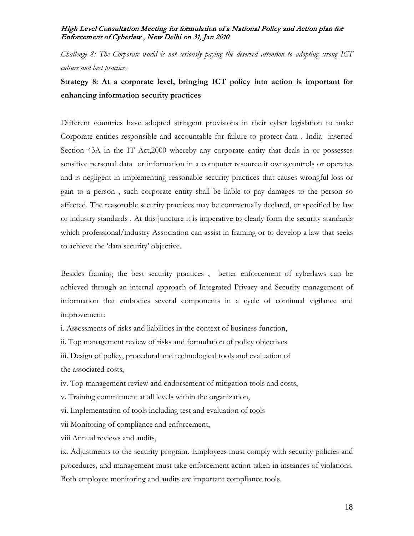*Challenge 8: The Corporate world is not seriously paying the deserved attention to adopting strong ICT culture and best practices* 

# **Strategy 8: At a corporate level, bringing ICT policy into action is important for enhancing information security practices**

Different countries have adopted stringent provisions in their cyber legislation to make Corporate entities responsible and accountable for failure to protect data . India inserted Section 43A in the IT Act,2000 whereby any corporate entity that deals in or possesses sensitive personal data or information in a computer resource it owns,controls or operates and is negligent in implementing reasonable security practices that causes wrongful loss or gain to a person , such corporate entity shall be liable to pay damages to the person so affected. The reasonable security practices may be contractually declared, or specified by law or industry standards . At this juncture it is imperative to clearly form the security standards which professional/industry Association can assist in framing or to develop a law that seeks to achieve the 'data security' objective.

Besides framing the best security practices , better enforcement of cyberlaws can be achieved through an internal approach of Integrated Privacy and Security management of information that embodies several components in a cycle of continual vigilance and improvement:

i. Assessments of risks and liabilities in the context of business function,

ii. Top management review of risks and formulation of policy objectives

iii. Design of policy, procedural and technological tools and evaluation of the associated costs,

iv. Top management review and endorsement of mitigation tools and costs,

v. Training commitment at all levels within the organization,

vi. Implementation of tools including test and evaluation of tools

vii Monitoring of compliance and enforcement,

viii Annual reviews and audits,

ix. Adjustments to the security program. Employees must comply with security policies and procedures, and management must take enforcement action taken in instances of violations. Both employee monitoring and audits are important compliance tools.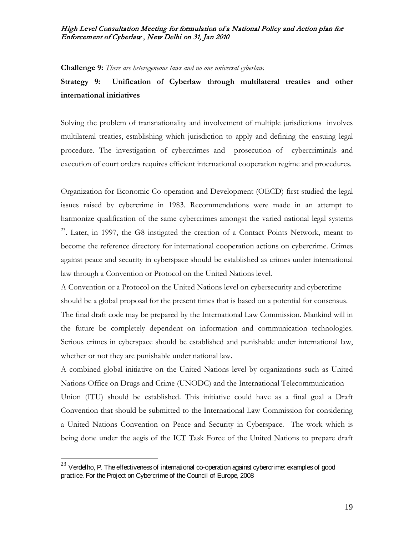**Challenge 9:** *There are heterogeneous laws and no one universal cyberlaw.*

# **Strategy 9: Unification of Cyberlaw through multilateral treaties and other international initiatives**

Solving the problem of transnationality and involvement of multiple jurisdictions involves multilateral treaties, establishing which jurisdiction to apply and defining the ensuing legal procedure. The investigation of cybercrimes and prosecution of cybercriminals and execution of court orders requires efficient international cooperation regime and procedures.

Organization for Economic Co-operation and Development (OECD) first studied the legal issues raised by cybercrime in 1983. Recommendations were made in an attempt to harmonize qualification of the same cybercrimes amongst the varied national legal systems <sup>[23](#page-18-0)</sup>. Later, in 1997, the G8 instigated the creation of a Contact Points Network, meant to become the reference directory for international cooperation actions on cybercrime. Crimes against peace and security in cyberspace should be established as crimes under international law through a Convention or Protocol on the United Nations level.

A Convention or a Protocol on the United Nations level on cybersecurity and cybercrime should be a global proposal for the present times that is based on a potential for consensus. The final draft code may be prepared by the International Law Commission. Mankind will in the future be completely dependent on information and communication technologies. Serious crimes in cyberspace should be established and punishable under international law, whether or not they are punishable under national law.

Union (ITU) should be established. This initiative could have as a final goal a Draft Convention that should be submitted to the International Law Commission for considering a United Nations Convention on Peace and Security in Cyberspace. The work which is being done under the aegis of the ICT Task Force of the United Nations to prepare draft A combined global initiative on the United Nations level by organizations such as United Nations Office on Drugs and Crime (UNODC) and the International Telecommunication

<span id="page-18-0"></span> $^{23}$  Verdelho, P. The effectiveness of international co-operation against cybercrime: examples of good practice. For the Project on Cybercrime of the Council of Europe, 2008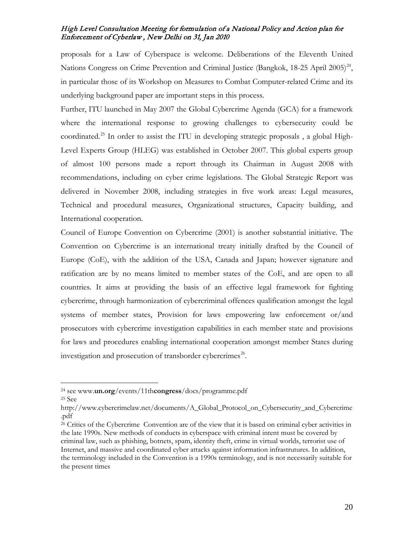proposals for a Law of Cyberspace is welcome. Deliberations of the Eleventh United Nations Congress on Crime Prevention and Criminal Justice (Bangkok, 18-25 April 2005)<sup>[24](#page-19-0)</sup>, in particular those of its Workshop on Measures to Combat Computer-related Crime and its underlying background paper are important steps in this process.

Further, ITU launched in May 2007 the Global Cybercrime Agenda (GCA) for a framework where the international response to growing challenges to cybersecurity could be coordinated.<sup>[25](#page-19-1)</sup> In order to assist the ITU in developing strategic proposals, a global High-Level Experts Group (HLEG) was established in October 2007. This global experts group of almost 100 persons made a report through its Chairman in August 2008 with recommendations, including on cyber crime legislations. The Global Strategic Report was delivered in November 2008, including strategies in five work areas: Legal measures, Technical and procedural measures, Organizational structures, Capacity building, and International cooperation.

Council of Europe Convention on Cybercrime (2001) is another substantial initiative. The Convention on Cybercrime is an international treaty initially drafted by the Council of Europe (CoE), with the addition of the USA, Canada and Japan; however signature and ratification are by no means limited to member states of the CoE, and are open to all countries. It aims at providing the basis of an effective legal framework for fighting cybercrime, through harmonization of cybercriminal offences qualification amongst the legal systems of member states, Provision for laws empowering law enforcement or/and prosecutors with cybercrime investigation capabilities in each member state and provisions for laws and procedures enabling international cooperation amongst member States during investigation and prosecution of transborder cybercrimes [26.](#page-19-2)

 $\overline{a}$ 

<span id="page-19-0"></span><sup>24</sup> see www.**un.org**/events/11th**congress**/docs/programme.pdf

<span id="page-19-1"></span><sup>25</sup> See

http://www.cybercrimelaw.net/documents/A\_Global\_Protocol\_on\_Cybersecurity\_and\_Cybercrime .pdf

<span id="page-19-2"></span><sup>26</sup> Critics of the Cybercrime Convention are of the view that it is based on criminal cyber activities in the late 1990s. New methods of conducts in cyberspace with criminal intent must be covered by criminal law, such as phishing, botnets, spam, identity theft, crime in virtual worlds, terrorist use of Internet, and massive and coordinated cyber attacks against information infrastrutures. In addition, the terminology included in the Convention is a 1990s terminology, and is not necessarily suitable for the present times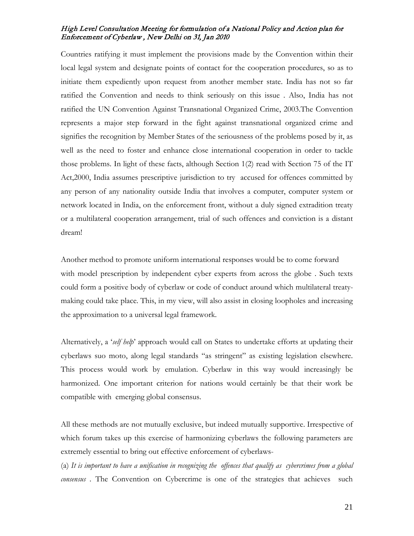Countries ratifying it must implement the provisions made by the Convention within their local legal system and designate points of contact for the cooperation procedures, so as to initiate them expediently upon request from another member state. India has not so far ratified the Convention and needs to think seriously on this issue . Also, India has not ratified the UN Convention Against Transnational Organized Crime, 2003.The Convention represents a major step forward in the fight against transnational organized crime and signifies the recognition by Member States of the seriousness of the problems posed by it, as well as the need to foster and enhance close international cooperation in order to tackle those problems. In light of these facts, although Section 1(2) read with Section 75 of the IT Act,2000, India assumes prescriptive jurisdiction to try accused for offences committed by any person of any nationality outside India that involves a computer, computer system or network located in India, on the enforcement front, without a duly signed extradition treaty or a multilateral cooperation arrangement, trial of such offences and conviction is a distant dream!

Another method to promote uniform international responses would be to come forward with model prescription by independent cyber experts from across the globe . Such texts could form a positive body of cyberlaw or code of conduct around which multilateral treatymaking could take place. This, in my view, will also assist in closing loopholes and increasing the approximation to a universal legal framework.

Alternatively, a '*self help*' approach would call on States to undertake efforts at updating their cyberlaws suo moto, along legal standards "as stringent" as existing legislation elsewhere. This process would work by emulation. Cyberlaw in this way would increasingly be harmonized. One important criterion for nations would certainly be that their work be compatible with emerging global consensus.

All these methods are not mutually exclusive, but indeed mutually supportive. Irrespective of which forum takes up this exercise of harmonizing cyberlaws the following parameters are extremely essential to bring out effective enforcement of cyberlaws-

(a) *It is important to have a unification in recognizing the offences that qualify as cybercrimes from a global consensus .* The Convention on Cybercrime is one of the strategies that achieves such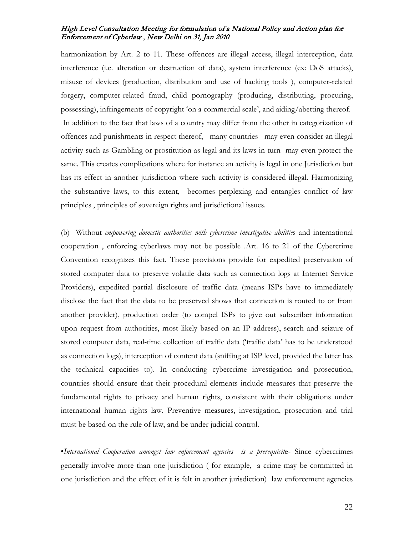harmonization by Art. 2 to 11. These offences are illegal access, illegal interception, data interference (i.e. alteration or destruction of data), system interference (ex: DoS attacks), misuse of devices (production, distribution and use of hacking tools ), computer-related forgery, computer-related fraud, child pornography (producing, distributing, procuring, possessing), infringements of copyright 'on a commercial scale', and aiding/abetting thereof. In addition to the fact that laws of a country may differ from the other in categorization of offences and punishments in respect thereof, many countries may even consider an illegal activity such as Gambling or prostitution as legal and its laws in turn may even protect the same. This creates complications where for instance an activity is legal in one Jurisdiction but has its effect in another jurisdiction where such activity is considered illegal. Harmonizing the substantive laws, to this extent, becomes perplexing and entangles conflict of law principles , principles of sovereign rights and jurisdictional issues.

(b) Without *empowering domestic authorities with cybercrime investigative abilitie*s and international cooperation , enforcing cyberlaws may not be possible .Art. 16 to 21 of the Cybercrime Convention recognizes this fact. These provisions provide for expedited preservation of stored computer data to preserve volatile data such as connection logs at Internet Service Providers), expedited partial disclosure of traffic data (means ISPs have to immediately disclose the fact that the data to be preserved shows that connection is routed to or from another provider), production order (to compel ISPs to give out subscriber information upon request from authorities, most likely based on an IP address), search and seizure of stored computer data, real-time collection of traffic data ('traffic data' has to be understood as connection logs), interception of content data (sniffing at ISP level, provided the latter has the technical capacities to). In conducting cybercrime investigation and prosecution, countries should ensure that their procedural elements include measures that preserve the fundamental rights to privacy and human rights, consistent with their obligations under international human rights law. Preventive measures, investigation, prosecution and trial must be based on the rule of law, and be under judicial control.

•*International Cooperation amongst law enforcement agencies is a prerequisit*e- Since cybercrimes generally involve more than one jurisdiction ( for example, a crime may be committed in one jurisdiction and the effect of it is felt in another jurisdiction) law enforcement agencies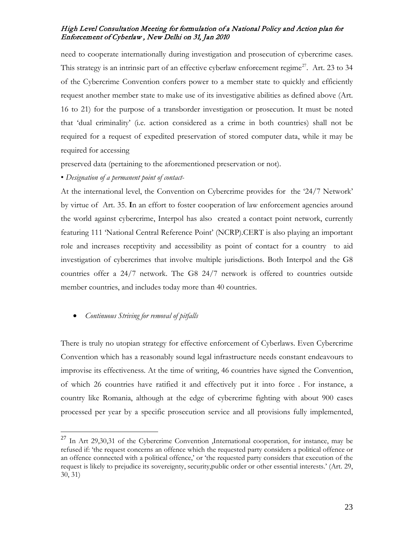need to cooperate internationally during investigation and prosecution of cybercrime cases. This strategy is an intrinsic part of an effective cyberlaw enforcement regime<sup>[27](#page-22-0)</sup>. Art. 23 to 34 of the Cybercrime Convention confers power to a member state to quickly and efficiently request another member state to make use of its investigative abilities as defined above (Art. 16 to 21) for the purpose of a transborder investigation or prosecution. It must be noted that 'dual criminality' (i.e. action considered as a crime in both countries) shall not be required for a request of expedited preservation of stored computer data, while it may be required for accessing

preserved data (pertaining to the aforementioned preservation or not).

• *Designation of a permanent point of contact-*

At the international level, the Convention on Cybercrime provides for the '24/7 Network' by virtue of Art. 35. **I**n an effort to foster cooperation of law enforcement agencies around the world against cybercrime, Interpol has also created a contact point network, currently featuring 111 'National Central Reference Point' (NCRP).CERT is also playing an important role and increases receptivity and accessibility as point of contact for a country to aid investigation of cybercrimes that involve multiple jurisdictions. Both Interpol and the G8 countries offer a 24/7 network. The G8 24/7 network is offered to countries outside member countries, and includes today more than 40 countries.

### • *Continuous Striving for removal of pitfalls*

There is truly no utopian strategy for effective enforcement of Cyberlaws. Even Cybercrime Convention which has a reasonably sound legal infrastructure needs constant endeavours to improvise its effectiveness. At the time of writing, 46 countries have signed the Convention, of which 26 countries have ratified it and effectively put it into force . For instance, a country like Romania, although at the edge of cybercrime fighting with about 900 cases processed per year by a specific prosecution service and all provisions fully implemented,

<span id="page-22-0"></span><sup>&</sup>lt;sup>27</sup> In Art 29,30,31 of the Cybercrime Convention ,International cooperation, for instance, may be refused if: 'the request concerns an offence which the requested party considers a political offence or an offence connected with a political offence,' or 'the requested party considers that execution of the request is likely to prejudice its sovereignty, security,public order or other essential interests.' (Art. 29, 30, 31)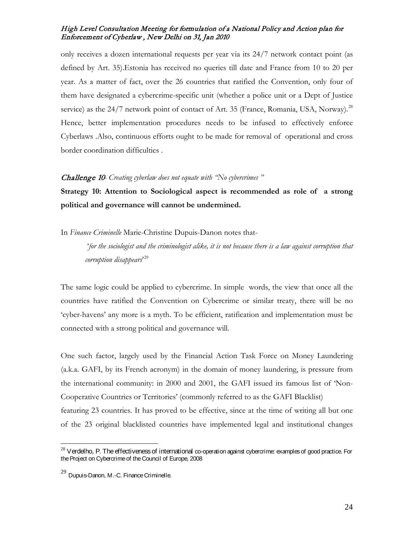only receives a dozen international requests per year via its 24/7 network contact point (as defined by Art. 35).Estonia has received no queries till date and France from 10 to 20 per year. As a matter of fact, over the 26 countries that ratified the Convention, only four of them have designated a cybercrime-specific unit (whether a police unit or a Dept of Justice service) as the  $24/7$  network point of contact of Art. 35 (France, Romania, USA, Norway).<sup>[28](#page-23-0)</sup> Hence, better implementation procedures needs to be infused to effectively enforce Cyberlaws .Also, continuous efforts ought to be made for removal of operational and cross border coordination difficulties .

#### Challenge 10*- Creating cyberlaw does not equate with "No cybercrimes "*

**Strategy 10: Attention to Sociological aspect is recommended as role of a strong political and governance will cannot be undermined.**

In *Finance Criminelle* Marie-Christine Dupuis-Danon notes that-

'*for the sociologist and the criminologist alike, it is not because there is a law against corruption that corruption disappears*' [29](#page-23-1)

The same logic could be applied to cybercrime. In simple words, the view that once all the countries have ratified the Convention on Cybercrime or similar treaty, there will be no 'cyber-havens' any more is a myth. To be efficient, ratification and implementation must be connected with a strong political and governance will.

featuring 23 countries. It has proved to be effective, since at the time of writing all but one of the 23 original blacklisted countries have implemented legal and institutional changes One such factor, largely used by the Financial Action Task Force on Money Laundering (a.k.a. GAFI, by its French acronym) in the domain of money laundering, is pressure from the international community: in 2000 and 2001, the GAFI issued its famous list of 'Non-Cooperative Countries or Territories' (commonly referred to as the GAFI Blacklist)

<span id="page-23-0"></span> $^{28}$  Verdelho, P. The effectiveness of international co-operation against cybercrime: examples of good practice. For the Project on Cybercrime of the Council of Europe, 2008

<span id="page-23-1"></span> $29$  Dupuis-Danon, M.-C. Finance Criminelle.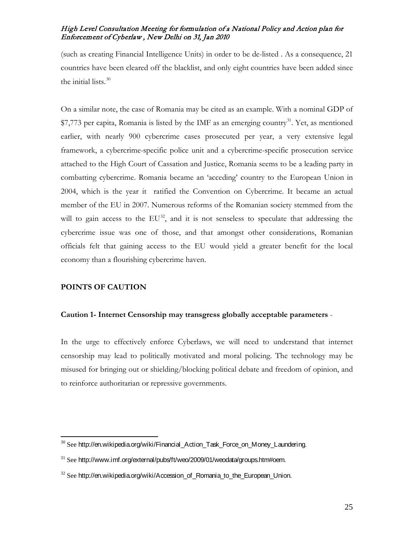(such as creating Financial Intelligence Units) in order to be de-listed . As a consequence, 21 countries have been cleared off the blacklist, and only eight countries have been added since the initial lists.<sup>[30](#page-24-0)</sup>

On a similar note, the case of Romania may be cited as an example. With a nominal GDP of  $$7,773$  per capita, Romania is listed by the IMF as an emerging country<sup>[31](#page-24-1)</sup>. Yet, as mentioned earlier, with nearly 900 cybercrime cases prosecuted per year, a very extensive legal framework, a cybercrime-specific police unit and a cybercrime-specific prosecution service attached to the High Court of Cassation and Justice, Romania seems to be a leading party in combatting cybercrime. Romania became an 'acceding' country to the European Union in 2004, which is the year it ratified the Convention on Cybercrime. It became an actual member of the EU in 2007. Numerous reforms of the Romanian society stemmed from the will to gain access to the  $EU^{32}$  $EU^{32}$  $EU^{32}$ , and it is not senseless to speculate that addressing the cybercrime issue was one of those, and that amongst other considerations, Romanian officials felt that gaining access to the EU would yield a greater benefit for the local economy than a flourishing cybercrime haven.

# **POINTS OF CAUTION**

### **Caution 1- Internet Censorship may transgress globally acceptable parameters** -

In the urge to effectively enforce Cyberlaws, we will need to understand that internet censorship may lead to politically motivated and moral policing. The technology may be misused for bringing out or shielding/blocking political debate and freedom of opinion, and to reinforce authoritarian or repressive governments.

<span id="page-24-0"></span> $30$  See http://en.wikipedia.org/wiki/Financial Action Task Force on Money Laundering.

<span id="page-24-1"></span> $31$  See http://www.imf.org/external/pubs/ft/weo/2009/01/weodata/groups.htm#oem.

<span id="page-24-2"></span> $32$  See http://en.wikipedia.org/wiki/Accession of Romania to the European Union.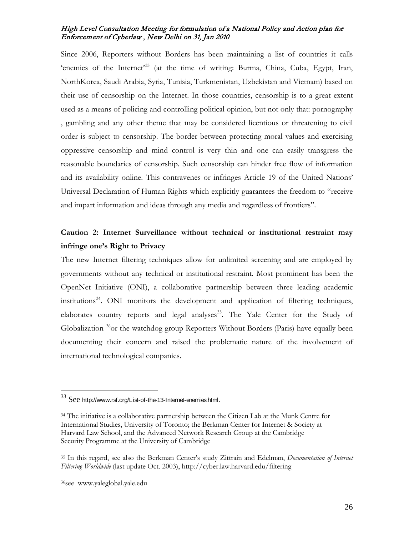Since 2006, Reporters without Borders has been maintaining a list of countries it calls 'enemies of the Internet'<sup>[33](#page-25-0)</sup> (at the time of writing: Burma, China, Cuba, Egypt, Iran, NorthKorea, Saudi Arabia, Syria, Tunisia, Turkmenistan, Uzbekistan and Vietnam) based on their use of censorship on the Internet. In those countries, censorship is to a great extent used as a means of policing and controlling political opinion, but not only that: pornography , gambling and any other theme that may be considered licentious or threatening to civil order is subject to censorship. The border between protecting moral values and exercising oppressive censorship and mind control is very thin and one can easily transgress the reasonable boundaries of censorship. Such censorship can hinder free flow of information and its availability online. This contravenes or infringes Article 19 of the United Nations' Universal Declaration of Human Rights which explicitly guarantees the freedom to "receive and impart information and ideas through any media and regardless of frontiers".

# **Caution 2: Internet Surveillance without technical or institutional restraint may infringe one's Right to Privacy**

The new Internet filtering techniques allow for unlimited screening and are employed by governments without any technical or institutional restraint. Most prominent has been the OpenNet Initiative (ONI), a collaborative partnership between three leading academic institutions [34.](#page-25-1) ONI monitors the development and application of filtering techniques, elaborates country reports and legal analyses<sup>35</sup>. The Yale Center for the Study of Globalization <sup>[36](#page-25-3)</sup> or the watchdog group Reporters Without Borders (Paris) have equally been documenting their concern and raised the problematic nature of the involvement of international technological companies.

<span id="page-25-0"></span> $33$  See http://www.rsf.org/List-of-the-13-Internet-enemies.html.

<span id="page-25-1"></span><sup>34</sup> The initiative is a collaborative partnership between the Citizen Lab at the Munk Centre for International Studies, University of Toronto; the Berkman Center for Internet & Society at Harvard Law School, and the Advanced Network Research Group at the Cambridge Security Programme at the University of Cambridge

<span id="page-25-2"></span><sup>35</sup> In this regard, see also the Berkman Center's study Zittrain and Edelman, *Documentation of Internet Filtering Worldwide* (last update Oct. 2003), http://cyber.law.harvard.edu/filtering

<span id="page-25-3"></span><sup>36</sup>see www.yaleglobal.yale.edu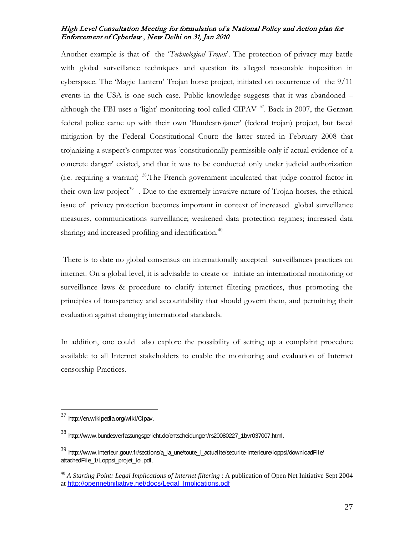Another example is that of the '*Technological Trojan*'. The protection of privacy may battle with global surveillance techniques and question its alleged reasonable imposition in cyberspace. The 'Magic Lantern' Trojan horse project, initiated on occurrence of the 9/11 events in the USA is one such case. Public knowledge suggests that it was abandoned – although the FBI uses a 'light' monitoring tool called CIPAV  $37$ . Back in 2007, the German federal police came up with their own 'Bundestrojaner' (federal trojan) project, but faced mitigation by the Federal Constitutional Court: the latter stated in February 2008 that trojanizing a suspect's computer was 'constitutionally permissible only if actual evidence of a concrete danger' existed, and that it was to be conducted only under judicial authorization (i.e. requiring a warrant) [38.](#page-26-1)The French government inculcated that judge-control factor in their own law project<sup>39</sup>. Due to the extremely invasive nature of Trojan horses, the ethical issue of privacy protection becomes important in context of increased global surveillance measures, communications surveillance; weakened data protection regimes; increased data sharing; and increased profiling and identification.<sup>[40](#page-26-3)</sup>

There is to date no global consensus on internationally accepted surveillances practices on internet. On a global level, it is advisable to create or initiate an international monitoring or surveillance laws & procedure to clarify internet filtering practices, thus promoting the principles of transparency and accountability that should govern them, and permitting their evaluation against changing international standards.

In addition, one could also explore the possibility of setting up a complaint procedure available to all Internet stakeholders to enable the monitoring and evaluation of Internet censorship Practices.

<span id="page-26-0"></span> <sup>37</sup> http://en.wikipedia.org/wiki/Cipav.

<span id="page-26-1"></span><sup>38</sup> http://www.bundesverfassungsgericht.de/entscheidungen/rs20080227\_1bvr037007.html.

<span id="page-26-2"></span><sup>&</sup>lt;sup>39</sup> http://www.interieur.gouv.fr/sections/a\_la\_une/toute\_l\_actualite/securite-interieure/loppsi/downloadFile/ attachedFile\_1/Loppsi\_projet\_loi.pdf.

<span id="page-26-3"></span><sup>40</sup> *A Starting Point: Legal Implications of Internet filtering* : A publication of Open Net Initiative Sept 2004 at [http://opennetinitiative.net/docs/Legal\\_Implications.pdf](http://opennetinitiative.net/docs/Legal_Implications.pdf)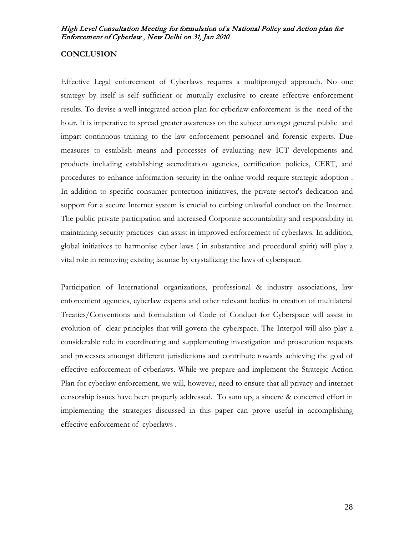## **CONCLUSION**

Effective Legal enforcement of Cyberlaws requires a multipronged approach. No one strategy by itself is self sufficient or mutually exclusive to create effective enforcement results. To devise a well integrated action plan for cyberlaw enforcement is the need of the hour. It is imperative to spread greater awareness on the subject amongst general public and impart continuous training to the law enforcement personnel and forensic experts. Due measures to establish means and processes of evaluating new ICT developments and products including establishing accreditation agencies, certification policies, CERT, and procedures to enhance information security in the online world require strategic adoption . In addition to specific consumer protection initiatives, the private sector's dedication and support for a secure Internet system is crucial to curbing unlawful conduct on the Internet. The public private participation and increased Corporate accountability and responsibility in maintaining security practices can assist in improved enforcement of cyberlaws. In addition, global initiatives to harmonise cyber laws ( in substantive and procedural spirit) will play a vital role in removing existing lacunae by crystallizing the laws of cyberspace.

Participation of International organizations, professional & industry associations, law enforcement agencies, cyberlaw experts and other relevant bodies in creation of multilateral Treaties/Conventions and formulation of Code of Conduct for Cyberspace will assist in evolution of clear principles that will govern the cyberspace. The Interpol will also play a considerable role in coordinating and supplementing investigation and prosecution requests and processes amongst different jurisdictions and contribute towards achieving the goal of effective enforcement of cyberlaws. While we prepare and implement the Strategic Action Plan for cyberlaw enforcement, we will, however, need to ensure that all privacy and internet censorship issues have been properly addressed. To sum up, a sincere & concerted effort in implementing the strategies discussed in this paper can prove useful in accomplishing effective enforcement of cyberlaws .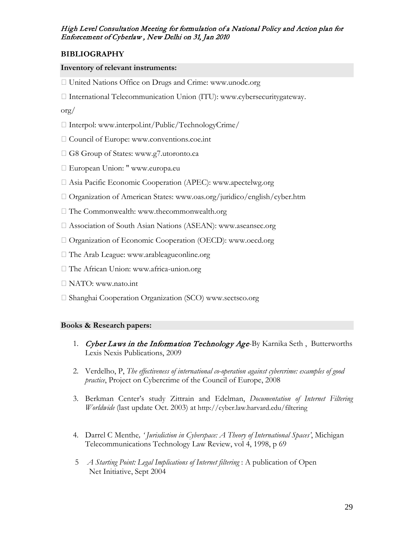# **BIBLIOGRAPHY**

# **Inventory of relevant instruments:**

- United Nations Office on Drugs and Crime: www.unodc.org
- International Telecommunication Union (ITU): www.cybersecuritygateway.

# org/

- $\Box$  Interpol: www.interpol.int/Public/TechnologyCrime/
- □ Council of Europe: www.conventions.coe.int
- □ G8 Group of States: www.g7.utoronto.ca
- European Union: " www.europa.eu
- Asia Pacific Economic Cooperation (APEC): www.apectelwg.org
- Organization of American States: www.oas.org/juridico/english/cyber.htm
- The Commonwealth: www.thecommonwealth.org
- Association of South Asian Nations (ASEAN): www.aseansec.org
- □ Organization of Economic Cooperation (OECD): www.oecd.org
- □ The Arab League: www.arableagueonline.org
- The African Union: www.africa-union.org
- NATO: www.nato.int
- □ Shanghai Cooperation Organization (SCO) www.sectsco.org

# **Books & Research papers:**

- 1. Cyber Laws in the Information Technology Age-By Karnika Seth, Butterworths Lexis Nexis Publications, 2009
- 2. Verdelho, P, *The effectiveness of international co-operation against cybercrime: examples of good practice*, Project on Cybercrime of the Council of Europe, 2008
- 3. Berkman Center's study Zittrain and Edelman, *Documentation of Internet Filtering Worldwide* (last update Oct. 2003) at http://cyber.law.harvard.edu/filtering
- 4. Darrel C Menthe*, ' Jurisdiction in Cyberspace: A Theory of International Spaces'*, Michigan Telecommunications Technology Law Review, vol 4, 1998, p 69
- 5 *A Starting Point: Legal Implications of Internet filtering* : A publication of Open Net Initiative, Sept 2004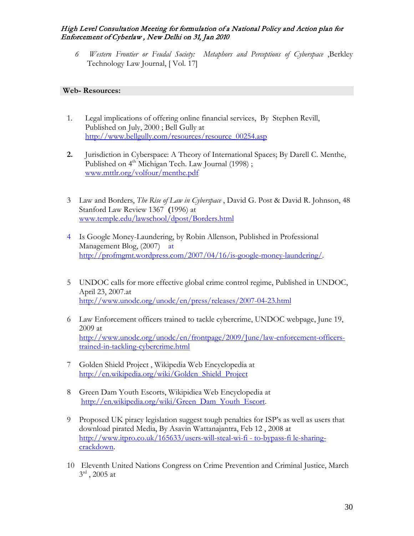*6 Western Frontier or Feudal Society: Metaphors and Perceptions of Cyberspace* ,Berkley Technology Law Journal, [ Vol. 17]

# **Web- Resources:**

- 1. Legal implications of offering online financial services, By Stephen Revill, Published on July, 2000 ; Bell Gully at [http://www.bellgully.com/resources/resource\\_00254.asp](http://www.bellgully.com/resources/resource_00254.asp)
- **2.** Jurisdiction in Cyberspace: A Theory of International Spaces; By Darell C. Menthe, Published on 4<sup>th</sup> Michigan Tech. Law Journal (1998); www.mttlr.org/volfour/menthe.pdf
- 3 Law and Borders, *The Rise of Law in Cyberspace* , David G. Post & David R. Johnson, 48 Stanford Law Review 1367 **(**1996) at [www.temple.edu/lawschool/dpost/Borders.html](http://www.temple.edu/lawschool/dpost/Borders.html)
- 4 Is Google Money-Laundering, by Robin Allenson, Published in Professional Management Blog, (2007) at [http://profmgmt.wordpress.com/2007/04/16/is-google-money-laundering/.](http://profmgmt.wordpress.com/2007/04/16/is-google-money-laundering/)
- 5 UNDOC calls for more effective global crime control regime, Published in UNDOC, April 23, 2007.at <http://www.unodc.org/unodc/en/press/releases/2007-04-23.html>
- 6 Law Enforcement officers trained to tackle cybercrime, UNDOC webpage, June 19, 2009 at [http://www.unodc.org/unodc/en/frontpage/2009/June/law-enforcement-officers](http://www.unodc.org/unodc/en/frontpage/2009/June/law-enforcement-officers-trained-in-tackling-cybercrime.html)[trained-in-tackling-cybercrime.html](http://www.unodc.org/unodc/en/frontpage/2009/June/law-enforcement-officers-trained-in-tackling-cybercrime.html)
- 7 Golden Shield Project , Wikipedia Web Encyclopedia at [http://en.wikipedia.org/wiki/Golden\\_Shield\\_Project](http://en.wikipedia.org/wiki/Golden_Shield_Project)
- 8 Green Dam Youth Escorts, Wikipidiea Web Encyclopedia at [http://en.wikipedia.org/wiki/Green\\_Dam\\_Youth\\_Escort.](http://en.wikipedia.org/wiki/Green_Dam_Youth_Escort)
- 9 Proposed UK piracy legislation suggest tough penalties for ISP's as well as users that download pirated Media, By Asavin Wattanajantra, Feb 12 , 2008 at [http://www.itpro.co.uk/165633/users-will-steal-wi-fi -](http://www.itpro.co.uk/165633/users-will-steal-wi-fi%20-%20to-bypass-fi%20le-sharing-crackdown) to-bypass-fi le-sharing[crackdown.](http://www.itpro.co.uk/165633/users-will-steal-wi-fi%20-%20to-bypass-fi%20le-sharing-crackdown)
- 10 Eleventh United Nations Congress on Crime Prevention and Criminal Justice, March  $3^{rd}$ , 2005 at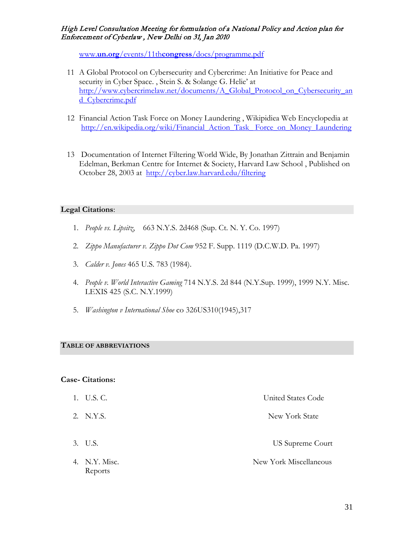www.**un.org**/events/11th**congress**[/docs/programme.pdf](http://www.un.org/events/11thcongress/docs/programme.pdf)

- 11 A Global Protocol on Cybersecurity and Cybercrime: An Initiative for Peace and security in Cyber Space. , Stein S. & Solange G. Helie' at [http://www.cybercrimelaw.net/documents/A\\_Global\\_Protocol\\_on\\_Cybersecurity\\_an](http://www.cybercrimelaw.net/documents/A_Global_Protocol_on_Cybersecurity_and_Cybercrime.pdf) [d\\_Cybercrime.pdf](http://www.cybercrimelaw.net/documents/A_Global_Protocol_on_Cybersecurity_and_Cybercrime.pdf)
- 12 Financial Action Task Force on Money Laundering , Wikipidiea Web Encyclopedia at [http://en.wikipedia.org/wiki/Financial\\_Action\\_Task\\_](http://en.wikipedia.org/wiki/Financial_Action_Task_%20Force_on_Money_Laundering) Force\_on\_Money\_Laundering
- 13 Documentation of Internet Filtering World Wide, By Jonathan Zittrain and Benjamin Edelman, Berkman Centre for Internet & Society, Harvard Law School , Published on October 28, 2003 at <http://cyber.law.harvard.edu/filtering>

# **Legal Citations**:

- 1. *People vs. Lipsitz*, 663 N.Y.S. 2d468 (Sup. Ct. N. Y. Co. 1997)
- 2. *[Zippo Manufacturer v. Zippo Dot Com](http://www.lex2k.org/jurisdiction/zippo.pdf)* 952 F. Supp. 1119 (D.C.W.D. Pa. 1997)
- 3. *Calder v. Jones* 465 U.S. 783 (1984).
- 4. *People v. World Interactive Gaming* 714 N.Y.S. 2d 844 (N.Y.Sup. 1999), 1999 N.Y. Misc. LEXIS 425 (S.C. N.Y.1999)
- 5. *Washington v International Shoe* co 326US310(1945),317

## **TABLE OF ABBREVIATIONS**

## **Case- Citations:**

Reports

| 1. U.S. C.    | United States Code     |
|---------------|------------------------|
| 2. N.Y.S.     | New York State         |
| 3. U.S.       | US Supreme Court       |
| 4. N.Y. Misc. | New York Miscellaneous |